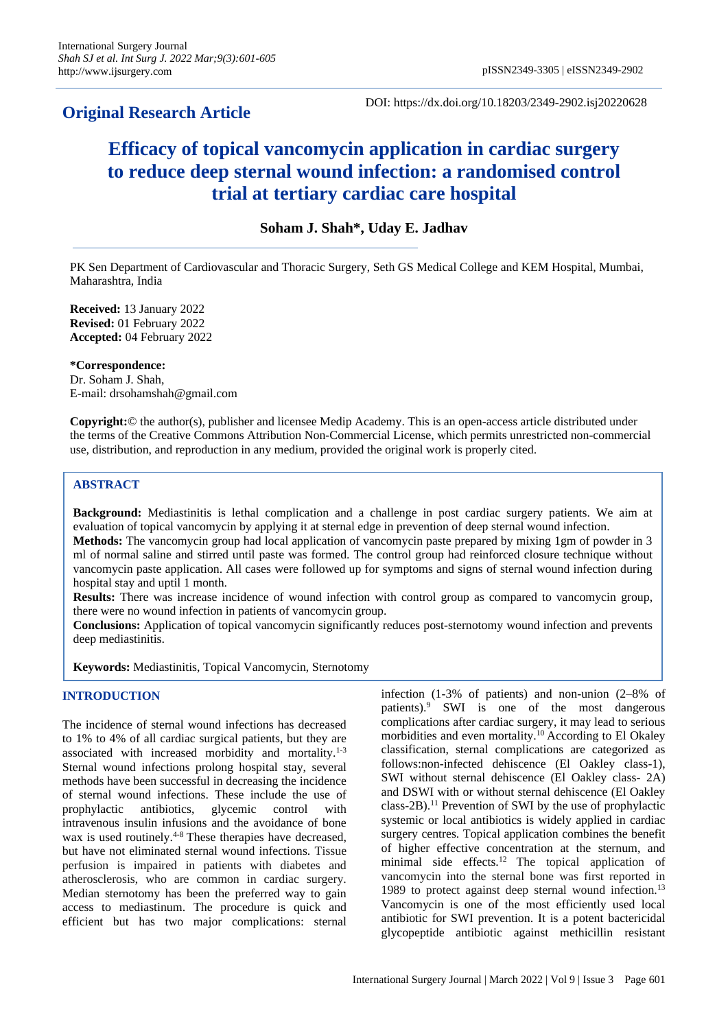# **Original Research Article**

DOI: https://dx.doi.org/10.18203/2349-2902.isj20220628

# **Efficacy of topical vancomycin application in cardiac surgery to reduce deep sternal wound infection: a randomised control trial at tertiary cardiac care hospital**

# **Soham J. Shah\*, Uday E. Jadhav**

PK Sen Department of Cardiovascular and Thoracic Surgery, Seth GS Medical College and KEM Hospital, Mumbai, Maharashtra, India

**Received:** 13 January 2022 **Revised:** 01 February 2022 **Accepted:** 04 February 2022

**\*Correspondence:** Dr. Soham J. Shah, E-mail: drsohamshah@gmail.com

**Copyright:**© the author(s), publisher and licensee Medip Academy. This is an open-access article distributed under the terms of the Creative Commons Attribution Non-Commercial License, which permits unrestricted non-commercial use, distribution, and reproduction in any medium, provided the original work is properly cited.

# **ABSTRACT**

**Background:** Mediastinitis is lethal complication and a challenge in post cardiac surgery patients. We aim at evaluation of topical vancomycin by applying it at sternal edge in prevention of deep sternal wound infection.

**Methods:** The vancomycin group had local application of vancomycin paste prepared by mixing 1gm of powder in 3 ml of normal saline and stirred until paste was formed. The control group had reinforced closure technique without vancomycin paste application. All cases were followed up for symptoms and signs of sternal wound infection during hospital stay and uptil 1 month.

**Results:** There was increase incidence of wound infection with control group as compared to vancomycin group, there were no wound infection in patients of vancomycin group.

**Conclusions:** Application of topical vancomycin significantly reduces post-sternotomy wound infection and prevents deep mediastinitis.

**Keywords:** Mediastinitis, Topical Vancomycin, Sternotomy

# **INTRODUCTION**

The incidence of sternal wound infections has decreased to 1% to 4% of all cardiac surgical patients, but they are associated with increased morbidity and mortality.1-3 Sternal wound infections prolong hospital stay, several methods have been successful in decreasing the incidence of sternal wound infections. These include the use of prophylactic antibiotics, glycemic control with intravenous insulin infusions and the avoidance of bone wax is used routinely.<sup>4-8</sup> These therapies have decreased, but have not eliminated sternal wound infections. Tissue perfusion is impaired in patients with diabetes and atherosclerosis, who are common in cardiac surgery. Median sternotomy has been the preferred way to gain access to mediastinum. The procedure is quick and efficient but has two major complications: sternal infection (1-3% of patients) and non-union (2–8% of patients).<sup>9</sup> SWI is one of the most dangerous complications after cardiac surgery, it may lead to serious morbidities and even mortality.<sup>10</sup> According to El Okaley classification, sternal complications are categorized as follows:non-infected dehiscence (El Oakley class-1), SWI without sternal dehiscence (El Oakley class- 2A) and DSWI with or without sternal dehiscence (El Oakley class-2B).<sup>11</sup> Prevention of SWI by the use of prophylactic systemic or local antibiotics is widely applied in cardiac surgery centres. Topical application combines the benefit of higher effective concentration at the sternum, and minimal side effects.<sup>12</sup> The topical application of vancomycin into the sternal bone was first reported in 1989 to protect against deep sternal wound infection.<sup>13</sup> Vancomycin is one of the most efficiently used local antibiotic for SWI prevention. It is a potent bactericidal glycopeptide antibiotic against methicillin resistant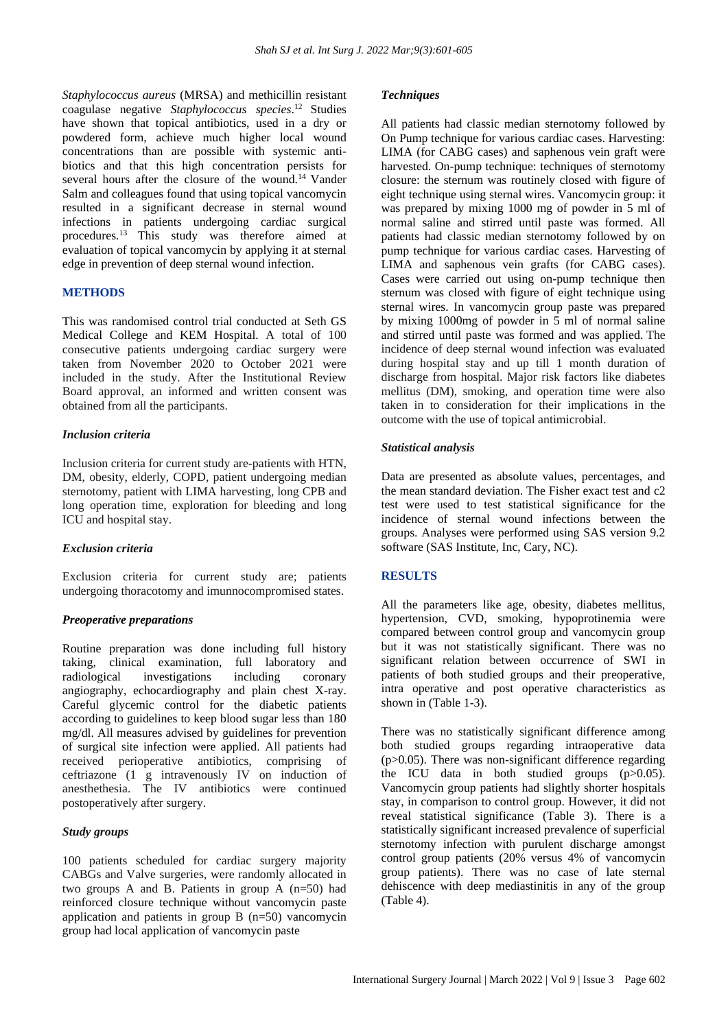*Staphylococcus aureus* (MRSA) and methicillin resistant coagulase negative *Staphylococcus species*. <sup>12</sup> Studies have shown that topical antibiotics, used in a dry or powdered form, achieve much higher local wound concentrations than are possible with systemic antibiotics and that this high concentration persists for several hours after the closure of the wound.<sup>14</sup> Vander Salm and colleagues found that using topical vancomycin resulted in a significant decrease in sternal wound infections in patients undergoing cardiac surgical procedures.<sup>13</sup> This study was therefore aimed at evaluation of topical vancomycin by applying it at sternal edge in prevention of deep sternal wound infection.

## **METHODS**

This was randomised control trial conducted at Seth GS Medical College and KEM Hospital. A total of 100 consecutive patients undergoing cardiac surgery were taken from November 2020 to October 2021 were included in the study. After the Institutional Review Board approval, an informed and written consent was obtained from all the participants.

#### *Inclusion criteria*

Inclusion criteria for current study are-patients with HTN, DM, obesity, elderly, COPD, patient undergoing median sternotomy, patient with LIMA harvesting, long CPB and long operation time, exploration for bleeding and long ICU and hospital stay.

#### *Exclusion criteria*

Exclusion criteria for current study are; patients undergoing thoracotomy and imunnocompromised states.

# *Preoperative preparations*

Routine preparation was done including full history taking, clinical examination, full laboratory and radiological investigations including coronary angiography, echocardiography and plain chest X-ray. Careful glycemic control for the diabetic patients according to guidelines to keep blood sugar less than 180 mg/dl. All measures advised by guidelines for prevention of surgical site infection were applied. All patients had received perioperative antibiotics, comprising of ceftriazone (1 g intravenously IV on induction of anesthethesia. The IV antibiotics were continued postoperatively after surgery.

#### *Study groups*

100 patients scheduled for cardiac surgery majority CABGs and Valve surgeries, were randomly allocated in two groups A and B. Patients in group A (n=50) had reinforced closure technique without vancomycin paste application and patients in group B (n=50) vancomycin group had local application of vancomycin paste

#### *Techniques*

All patients had classic median sternotomy followed by On Pump technique for various cardiac cases. Harvesting: LIMA (for CABG cases) and saphenous vein graft were harvested. On-pump technique: techniques of sternotomy closure: the sternum was routinely closed with figure of eight technique using sternal wires. Vancomycin group: it was prepared by mixing 1000 mg of powder in 5 ml of normal saline and stirred until paste was formed. All patients had classic median sternotomy followed by on pump technique for various cardiac cases. Harvesting of LIMA and saphenous vein grafts (for CABG cases). Cases were carried out using on-pump technique then sternum was closed with figure of eight technique using sternal wires. In vancomycin group paste was prepared by mixing 1000mg of powder in 5 ml of normal saline and stirred until paste was formed and was applied. The incidence of deep sternal wound infection was evaluated during hospital stay and up till 1 month duration of discharge from hospital. Major risk factors like diabetes mellitus (DM), smoking, and operation time were also taken in to consideration for their implications in the outcome with the use of topical antimicrobial.

#### *Statistical analysis*

Data are presented as absolute values, percentages, and the mean standard deviation. The Fisher exact test and c2 test were used to test statistical significance for the incidence of sternal wound infections between the groups. Analyses were performed using SAS version 9.2 software (SAS Institute, Inc, Cary, NC).

# **RESULTS**

All the parameters like age, obesity, diabetes mellitus, hypertension, CVD, smoking, hypoprotinemia were compared between control group and vancomycin group but it was not statistically significant. There was no significant relation between occurrence of SWI in patients of both studied groups and their preoperative, intra operative and post operative characteristics as shown in (Table 1-3).

There was no statistically significant difference among both studied groups regarding intraoperative data  $(p>0.05)$ . There was non-significant difference regarding the ICU data in both studied groups (p>0.05). Vancomycin group patients had slightly shorter hospitals stay, in comparison to control group. However, it did not reveal statistical significance (Table 3). There is a statistically significant increased prevalence of superficial sternotomy infection with purulent discharge amongst control group patients (20% versus 4% of vancomycin group patients). There was no case of late sternal dehiscence with deep mediastinitis in any of the group (Table 4).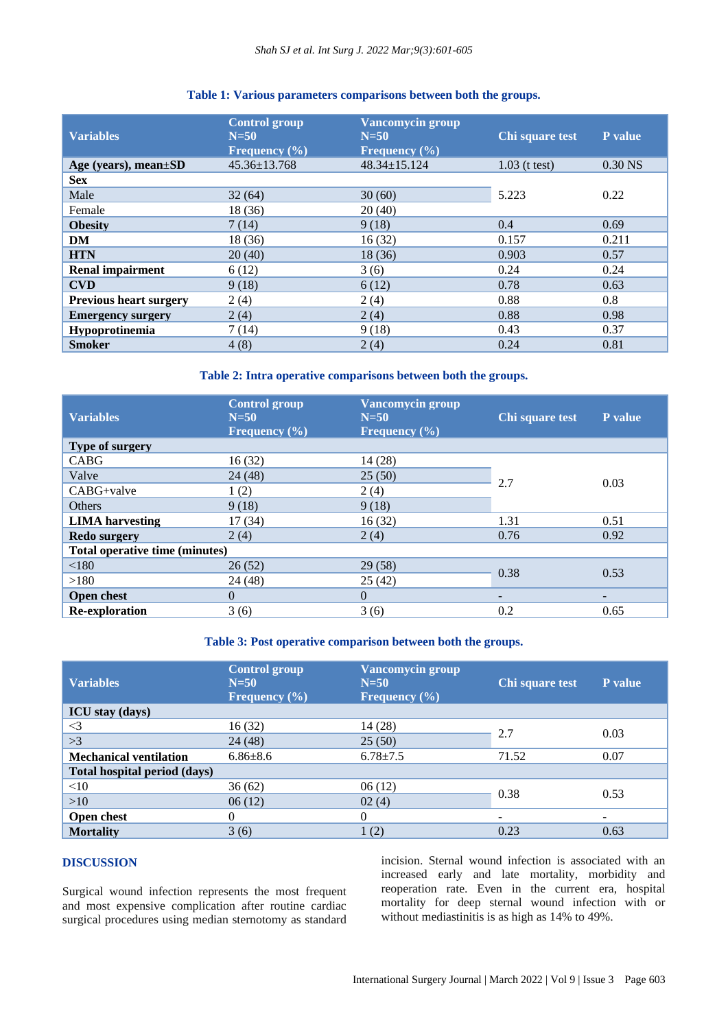# **Table 1: Various parameters comparisons between both the groups.**

| <b>Variables</b>              | <b>Control group</b><br>$N = 50$<br>Frequency $(\% )$ | <b>Vancomycin group</b><br>$N=50$<br>Frequency $(\% )$ | Chi square test | <b>P</b> value |
|-------------------------------|-------------------------------------------------------|--------------------------------------------------------|-----------------|----------------|
| Age (years), mean $\pm SD$    | $45.36 \pm 13.768$                                    | $48.34 \pm 15.124$                                     | $1.03$ (t test) | $0.30$ NS      |
| <b>Sex</b>                    |                                                       |                                                        |                 |                |
| Male                          | 32(64)                                                | 30(60)                                                 | 5.223           | 0.22           |
| Female                        | 18 (36)                                               | 20(40)                                                 |                 |                |
| <b>Obesity</b>                | 7(14)                                                 | 9(18)                                                  | 0.4             | 0.69           |
| DM                            | 18 (36)                                               | 16(32)                                                 | 0.157           | 0.211          |
| <b>HTN</b>                    | 20(40)                                                | 18(36)                                                 | 0.903           | 0.57           |
| <b>Renal impairment</b>       | 6(12)                                                 | 3(6)                                                   | 0.24            | 0.24           |
| <b>CVD</b>                    | 9(18)                                                 | 6(12)                                                  | 0.78            | 0.63           |
| <b>Previous heart surgery</b> | 2(4)                                                  | 2(4)                                                   | 0.88            | 0.8            |
| <b>Emergency surgery</b>      | 2(4)                                                  | 2(4)                                                   | 0.88            | 0.98           |
| Hypoprotinemia                | 7(14)                                                 | 9(18)                                                  | 0.43            | 0.37           |
| <b>Smoker</b>                 | 4(8)                                                  | 2(4)                                                   | 0.24            | 0.81           |

# **Table 2: Intra operative comparisons between both the groups.**

| <b>Variables</b>               | <b>Control group</b><br>$N=50$<br>Frequency $(\% )$ | <b>Vancomycin group</b><br>$N = 50$<br>Frequency $(\% )$ | Chi square test | P value |
|--------------------------------|-----------------------------------------------------|----------------------------------------------------------|-----------------|---------|
| Type of surgery                |                                                     |                                                          |                 |         |
| <b>CABG</b>                    | 16(32)                                              | 14(28)                                                   | 2.7             | 0.03    |
| Valve                          | 24(48)                                              | 25(50)                                                   |                 |         |
| CABG+valve                     | 1(2)                                                | 2(4)                                                     |                 |         |
| <b>Others</b>                  | 9(18)                                               | 9(18)                                                    |                 |         |
| <b>LIMA</b> harvesting         | 17(34)                                              | 16(32)                                                   | 1.31            | 0.51    |
| <b>Redo surgery</b>            | 2(4)                                                | 2(4)                                                     | 0.76            | 0.92    |
| Total operative time (minutes) |                                                     |                                                          |                 |         |
| < 180                          | 26(52)                                              | 29(58)                                                   | 0.38            | 0.53    |
| >180                           | 24(48)                                              | 25(42)                                                   |                 |         |
| <b>Open chest</b>              | $\Omega$                                            | $\Omega$                                                 | -               | -       |
| <b>Re-exploration</b>          | 3(6)                                                | 3(6)                                                     | 0.2             | 0.65    |

# **Table 3: Post operative comparison between both the groups.**

| <b>Variables</b>                    | <b>Control group</b><br>$N=50$<br>Frequency $(\% )$ | <b>Vancomycin group</b><br>$N=50$<br>Frequency $(\% )$ | Chi square test | P value |
|-------------------------------------|-----------------------------------------------------|--------------------------------------------------------|-----------------|---------|
| <b>ICU</b> stay (days)              |                                                     |                                                        |                 |         |
| $\leq$ 3                            | 16(32)                                              | 14 (28)                                                | 2.7             | 0.03    |
| >3                                  | 24(48)                                              | 25(50)                                                 |                 |         |
| <b>Mechanical ventilation</b>       | $6.86 \pm 8.6$                                      | $6.78 \pm 7.5$                                         | 71.52           | 0.07    |
| <b>Total hospital period (days)</b> |                                                     |                                                        |                 |         |
| <10                                 | 36(62)                                              | 06(12)                                                 | 0.38            | 0.53    |
| >10                                 | 06(12)                                              | 02(4)                                                  |                 |         |
| Open chest                          | $\theta$                                            | 0                                                      | -               |         |
| <b>Mortality</b>                    | 3(6)                                                | 1(2)                                                   | 0.23            | 0.63    |

# **DISCUSSION**

Surgical wound infection represents the most frequent and most expensive complication after routine cardiac surgical procedures using median sternotomy as standard incision. Sternal wound infection is associated with an increased early and late mortality, morbidity and reoperation rate. Even in the current era, hospital mortality for deep sternal wound infection with or without mediastinitis is as high as 14% to 49%.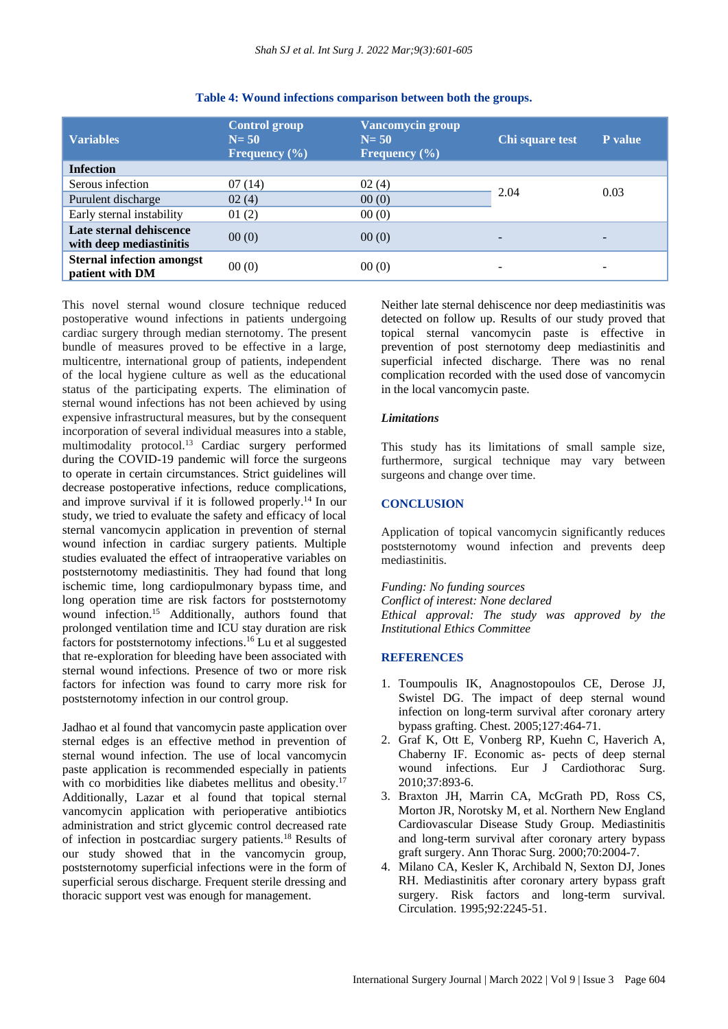| <b>Variables</b>                                    | <b>Control group</b><br>$N = 50$<br>Frequency $(\% )$ | <b>Vancomycin group</b><br>$N = 50$<br><b>Frequency</b> $(\%)$ | Chi square test | <b>P</b> value |
|-----------------------------------------------------|-------------------------------------------------------|----------------------------------------------------------------|-----------------|----------------|
| <b>Infection</b>                                    |                                                       |                                                                |                 |                |
| Serous infection                                    | 07(14)                                                | 02(4)                                                          |                 |                |
| Purulent discharge                                  | 02(4)                                                 | 00(0)                                                          | 2.04            | 0.03           |
| Early sternal instability                           | 01(2)                                                 | 00(0)                                                          |                 |                |
| Late sternal dehiscence<br>with deep mediastinitis  | 00(0)                                                 | 00(0)                                                          |                 |                |
| <b>Sternal infection amongst</b><br>patient with DM | 00(0)                                                 | 00(0)                                                          |                 |                |

#### **Table 4: Wound infections comparison between both the groups.**

This novel sternal wound closure technique reduced postoperative wound infections in patients undergoing cardiac surgery through median sternotomy. The present bundle of measures proved to be effective in a large, multicentre, international group of patients, independent of the local hygiene culture as well as the educational status of the participating experts. The elimination of sternal wound infections has not been achieved by using expensive infrastructural measures, but by the consequent incorporation of several individual measures into a stable, multimodality protocol.<sup>13</sup> Cardiac surgery performed during the COVID-19 pandemic will force the surgeons to operate in certain circumstances. Strict guidelines will decrease postoperative infections, reduce complications, and improve survival if it is followed properly. <sup>14</sup> In our study, we tried to evaluate the safety and efficacy of local sternal vancomycin application in prevention of sternal wound infection in cardiac surgery patients. Multiple studies evaluated the effect of intraoperative variables on poststernotomy mediastinitis. They had found that long ischemic time, long cardiopulmonary bypass time, and long operation time are risk factors for poststernotomy wound infection.<sup>15</sup> Additionally, authors found that prolonged ventilation time and ICU stay duration are risk factors for poststernotomy infections. <sup>16</sup> Lu et al suggested that re-exploration for bleeding have been associated with sternal wound infections. Presence of two or more risk factors for infection was found to carry more risk for poststernotomy infection in our control group.

Jadhao et al found that vancomycin paste application over sternal edges is an effective method in prevention of sternal wound infection. The use of local vancomycin paste application is recommended especially in patients with co morbidities like diabetes mellitus and obesity.<sup>17</sup> Additionally, Lazar et al found that topical sternal vancomycin application with perioperative antibiotics administration and strict glycemic control decreased rate of infection in postcardiac surgery patients.<sup>18</sup> Results of our study showed that in the vancomycin group, poststernotomy superficial infections were in the form of superficial serous discharge. Frequent sterile dressing and thoracic support vest was enough for management.

Neither late sternal dehiscence nor deep mediastinitis was detected on follow up. Results of our study proved that topical sternal vancomycin paste is effective in prevention of post sternotomy deep mediastinitis and superficial infected discharge. There was no renal complication recorded with the used dose of vancomycin in the local vancomycin paste.

#### *Limitations*

This study has its limitations of small sample size, furthermore, surgical technique may vary between surgeons and change over time.

#### **CONCLUSION**

Application of topical vancomycin significantly reduces poststernotomy wound infection and prevents deep mediastinitis.

*Funding: No funding sources Conflict of interest: None declared Ethical approval: The study was approved by the Institutional Ethics Committee*

#### **REFERENCES**

- 1. Toumpoulis IK, Anagnostopoulos CE, Derose JJ, Swistel DG. The impact of deep sternal wound infection on long-term survival after coronary artery bypass grafting. Chest. 2005;127:464-71.
- 2. Graf K, Ott E, Vonberg RP, Kuehn C, Haverich A, Chaberny IF. Economic as- pects of deep sternal wound infections. Eur J Cardiothorac Surg. 2010;37:893-6.
- 3. Braxton JH, Marrin CA, McGrath PD, Ross CS, Morton JR, Norotsky M, et al. Northern New England Cardiovascular Disease Study Group. Mediastinitis and long-term survival after coronary artery bypass graft surgery. Ann Thorac Surg. 2000;70:2004-7.
- 4. Milano CA, Kesler K, Archibald N, Sexton DJ, Jones RH. Mediastinitis after coronary artery bypass graft surgery. Risk factors and long-term survival. Circulation. 1995;92:2245-51.